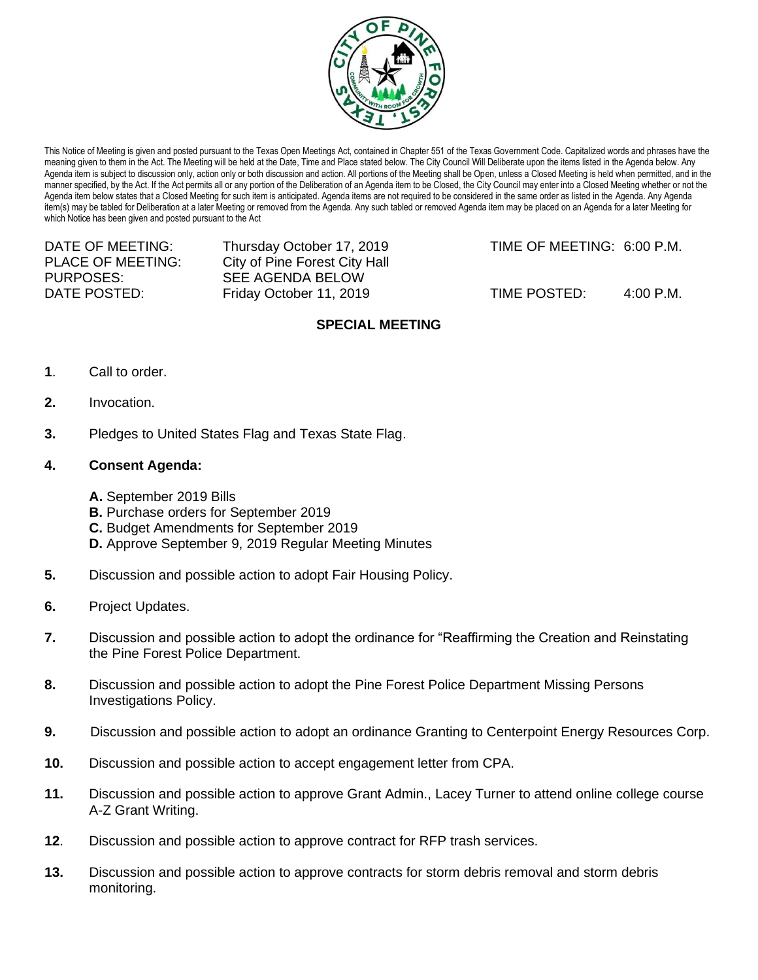

This Notice of Meeting is given and posted pursuant to the Texas Open Meetings Act, contained in Chapter 551 of the Texas Government Code. Capitalized words and phrases have the meaning given to them in the Act. The Meeting will be held at the Date, Time and Place stated below. The City Council Will Deliberate upon the items listed in the Agenda below. Any Agenda item is subject to discussion only, action only or both discussion and action. All portions of the Meeting shall be Open, unless a Closed Meeting is held when permitted, and in the manner specified, by the Act. If the Act permits all or any portion of the Deliberation of an Agenda item to be Closed, the City Council may enter into a Closed Meeting whether or not the Agenda item below states that a Closed Meeting for such item is anticipated. Agenda items are not required to be considered in the same order as listed in the Agenda. Any Agenda item(s) may be tabled for Deliberation at a later Meeting or removed from the Agenda. Any such tabled or removed Agenda item may be placed on an Agenda for a later Meeting for which Notice has been given and posted pursuant to the Act

DATE OF MEETING: Thursday October 17, 2019 TIME OF MEETING: 6:00 P.M. PLACE OF MEETING: City of Pine Forest City Hall PURPOSES: SEE AGENDA BELOW DATE POSTED: Friday October 11, 2019 TIME POSTED: 4:00 P.M.

# **SPECIAL MEETING**

- **1**. Call to order.
- **2.** Invocation.
- **3.** Pledges to United States Flag and Texas State Flag.
- **4. Consent Agenda:**
	- **A.** September 2019 Bills
	- **B.** Purchase orders for September 2019
	- **C.** Budget Amendments for September 2019
	- **D.** Approve September 9, 2019 Regular Meeting Minutes
- **5.** Discussion and possible action to adopt Fair Housing Policy.
- **6.** Project Updates.
- **7.** Discussion and possible action to adopt the ordinance for "Reaffirming the Creation and Reinstating the Pine Forest Police Department.
- **8.** Discussion and possible action to adopt the Pine Forest Police Department Missing Persons Investigations Policy.
- **9.** Discussion and possible action to adopt an ordinance Granting to Centerpoint Energy Resources Corp.
- **10.** Discussion and possible action to accept engagement letter from CPA.
- **11.** Discussion and possible action to approve Grant Admin., Lacey Turner to attend online college course A-Z Grant Writing.
- **12**. Discussion and possible action to approve contract for RFP trash services.
- **13.** Discussion and possible action to approve contracts for storm debris removal and storm debris monitoring.